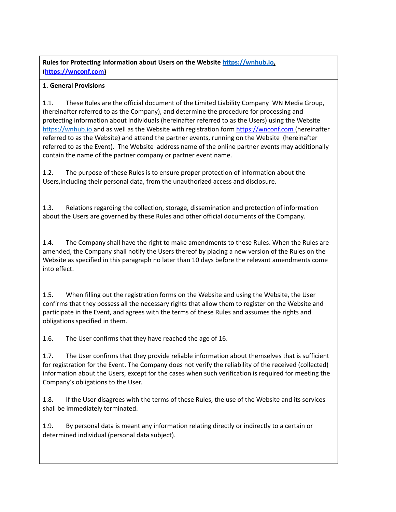# **Rules for Protecting Information about Users on the Website [https://wnhub.io](https://wnhub.io/),** (**[https://wnconf.com\)](https://wnconf.com/)**

## **1. General Provisions**

1.1. These Rules are the official document of the Limited Liability Company WN Media Group, (hereinafter referred to as the Company), and determine the procedure for processing and protecting information about individuals (hereinafter referred to as the Users) using the Website [https://wnhub.io](https://wnhub.io/) and as well as the Website with registration form [https://wnconf.com](https://wnconf.com/) (hereinafter referred to as the Website) and attend the partner events, running on the Website (hereinafter referred to as the Event). The Website address name of the online partner events may additionally contain the name of the partner company or partner event name.

1.2. The purpose of these Rules is to ensure proper protection of information about the Users,including their personal data, from the unauthorized access and disclosure.

1.3. Relations regarding the collection, storage, dissemination and protection of information about the Users are governed by these Rules and other official documents of the Company.

1.4. The Company shall have the right to make amendments to these Rules. When the Rules are amended, the Company shall notify the Users thereof by placing a new version of the Rules on the Website as specified in this paragraph no later than 10 days before the relevant amendments come into effect.

1.5. When filling out the registration forms on the Website and using the Website, the User confirms that they possess all the necessary rights that allow them to register on the Website and participate in the Event, and agrees with the terms of these Rules and assumes the rights and obligations specified in them.

1.6. The User confirms that they have reached the age of 16.

1.7. The User confirms that they provide reliable information about themselves that is sufficient for registration for the Event. The Company does not verify the reliability of the received (collected) information about the Users, except for the cases when such verification is required for meeting the Company's obligations to the User.

1.8. If the User disagrees with the terms of these Rules, the use of the Website and its services shall be immediately terminated.

1.9. By personal data is meant any information relating directly or indirectly to a certain or determined individual (personal data subject).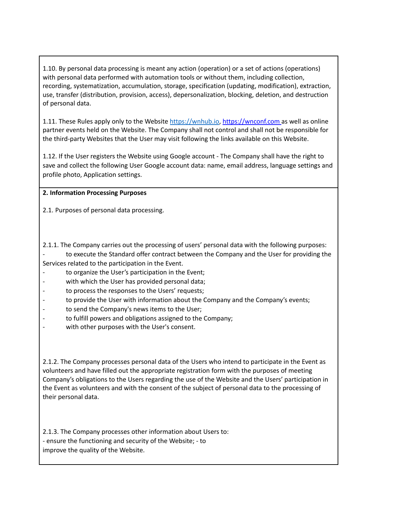1.10. By personal data processing is meant any action (operation) or a set of actions (operations) with personal data performed with automation tools or without them, including collection, recording, systematization, accumulation, storage, specification (updating, modification), extraction, use, transfer (distribution, provision, access), depersonalization, blocking, deletion, and destruction of personal data.

1.11. These Rules apply only to the Website [https://wnhub.io](https://wnhub.io/), [https://wnconf.com](https://wnconf.com/) as well as online partner events held on the Website. The Company shall not control and shall not be responsible for the third-party Websites that the User may visit following the links available on this Website.

1.12. If the User registers the Website using Google account - The Company shall have the right to save and collect the following User Google account data: name, email address, language settings and profile photo, Application settings.

#### **2. Information Processing Purposes**

2.1. Purposes of personal data processing.

2.1.1. The Company carries out the processing of users' personal data with the following purposes: to execute the Standard offer contract between the Company and the User for providing the Services related to the participation in the Event.

- to organize the User's participation in the Event;
- with which the User has provided personal data;
- to process the responses to the Users' requests;
- to provide the User with information about the Company and the Company's events;
- to send the Company's news items to the User;
- to fulfill powers and obligations assigned to the Company;
- with other purposes with the User's consent.

2.1.2. The Company processes personal data of the Users who intend to participate in the Event as volunteers and have filled out the appropriate registration form with the purposes of meeting Company's obligations to the Users regarding the use of the Website and the Users' participation in the Event as volunteers and with the consent of the subject of personal data to the processing of their personal data.

2.1.3. The Company processes other information about Users to: - ensure the functioning and security of the Website; - to improve the quality of the Website.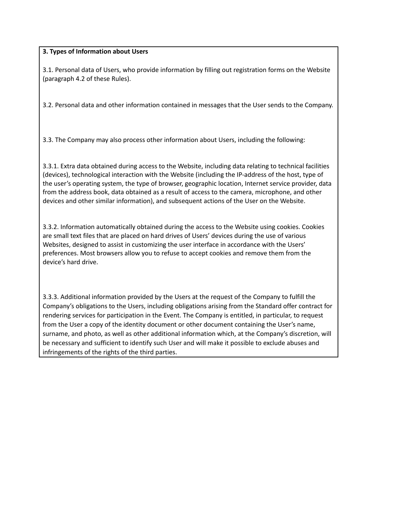### **3. Types of Information about Users**

3.1. Personal data of Users, who provide information by filling out registration forms on the Website (paragraph 4.2 of these Rules).

3.2. Personal data and other information contained in messages that the User sends to the Company.

3.3. The Company may also process other information about Users, including the following:

3.3.1. Extra data obtained during access to the Website, including data relating to technical facilities (devices), technological interaction with the Website (including the IP-address of the host, type of the user's operating system, the type of browser, geographic location, Internet service provider, data from the address book, data obtained as a result of access to the camera, microphone, and other devices and other similar information), and subsequent actions of the User on the Website.

3.3.2. Information automatically obtained during the access to the Website using cookies. Cookies are small text files that are placed on hard drives of Users' devices during the use of various Websites, designed to assist in customizing the user interface in accordance with the Users' preferences. Most browsers allow you to refuse to accept cookies and remove them from the device's hard drive.

3.3.3. Additional information provided by the Users at the request of the Company to fulfill the Company's obligations to the Users, including obligations arising from the Standard offer contract for rendering services for participation in the Event. The Company is entitled, in particular, to request from the User a copy of the identity document or other document containing the User's name, surname, and photo, as well as other additional information which, at the Company's discretion, will be necessary and sufficient to identify such User and will make it possible to exclude abuses and infringements of the rights of the third parties.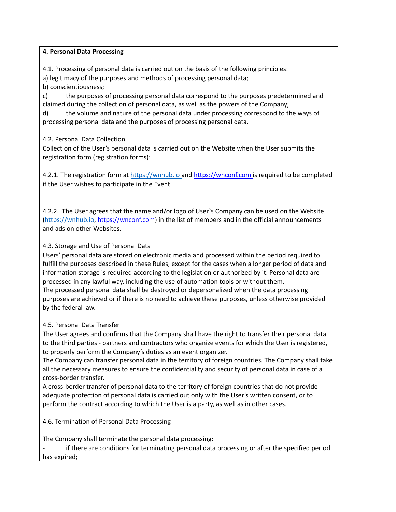#### **4. Personal Data Processing**

4.1. Processing of personal data is carried out on the basis of the following principles:

a) legitimacy of the purposes and methods of processing personal data;

b) conscientiousness;

c) the purposes of processing personal data correspond to the purposes predetermined and claimed during the collection of personal data, as well as the powers of the Company;

d) the volume and nature of the personal data under processing correspond to the ways of processing personal data and the purposes of processing personal data.

4.2. Personal Data Collection

Collection of the User's personal data is carried out on the Website when the User submits the registration form (registration forms):

4.2.1. The registration form at [https://wnhub.io](https://wnhub.io/) and [https://wnconf.com](https://wnconf.com/) is required to be completed if the User wishes to participate in the Event.

4.2.2. The User agrees that the name and/or logo of User`s Company can be used on the Website [\(https://wnhub.io,](https://wnhub.io/) [https://wnconf.com\)](https://wnconf.com/) in the list of members and in the official announcements and ads on other Websites.

### 4.3. Storage and Use of Personal Data

Users' personal data are stored on electronic media and processed within the period required to fulfill the purposes described in these Rules, except for the cases when a longer period of data and information storage is required according to the legislation or authorized by it. Personal data are processed in any lawful way, including the use of automation tools or without them. The processed personal data shall be destroyed or depersonalized when the data processing purposes are achieved or if there is no need to achieve these purposes, unless otherwise provided by the federal law.

### 4.5. Personal Data Transfer

The User agrees and confirms that the Company shall have the right to transfer their personal data to the third parties - partners and contractors who organize events for which the User is registered, to properly perform the Company's duties as an event organizer.

The Company can transfer personal data in the territory of foreign countries. The Company shall take all the necessary measures to ensure the confidentiality and security of personal data in case of a cross-border transfer.

A cross-border transfer of personal data to the territory of foreign countries that do not provide adequate protection of personal data is carried out only with the User's written consent, or to perform the contract according to which the User is a party, as well as in other cases.

4.6. Termination of Personal Data Processing

The Company shall terminate the personal data processing:

if there are conditions for terminating personal data processing or after the specified period has expired;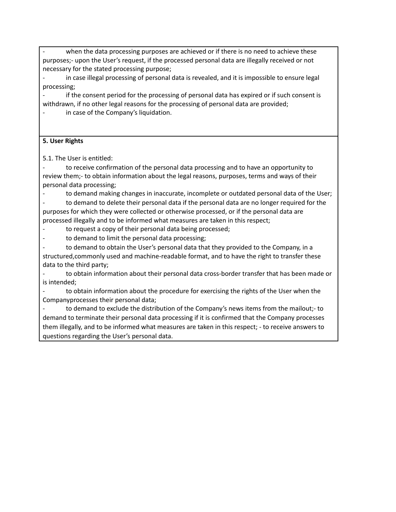when the data processing purposes are achieved or if there is no need to achieve these purposes;- upon the User's request, if the processed personal data are illegally received or not necessary for the stated processing purpose;

in case illegal processing of personal data is revealed, and it is impossible to ensure legal processing;

if the consent period for the processing of personal data has expired or if such consent is withdrawn, if no other legal reasons for the processing of personal data are provided;

in case of the Company's liquidation.

## **5. User Rights**

5.1. The User is entitled:

to receive confirmation of the personal data processing and to have an opportunity to review them;- to obtain information about the legal reasons, purposes, terms and ways of their personal data processing;

- to demand making changes in inaccurate, incomplete or outdated personal data of the User;

to demand to delete their personal data if the personal data are no longer required for the purposes for which they were collected or otherwise processed, or if the personal data are processed illegally and to be informed what measures are taken in this respect;

to request a copy of their personal data being processed;

to demand to limit the personal data processing;

to demand to obtain the User's personal data that they provided to the Company, in a structured,commonly used and machine-readable format, and to have the right to transfer these data to the third party;

to obtain information about their personal data cross-border transfer that has been made or is intended;

to obtain information about the procedure for exercising the rights of the User when the Companyprocesses their personal data;

to demand to exclude the distribution of the Company's news items from the mailout;- to demand to terminate their personal data processing if it is confirmed that the Company processes them illegally, and to be informed what measures are taken in this respect; - to receive answers to questions regarding the User's personal data.